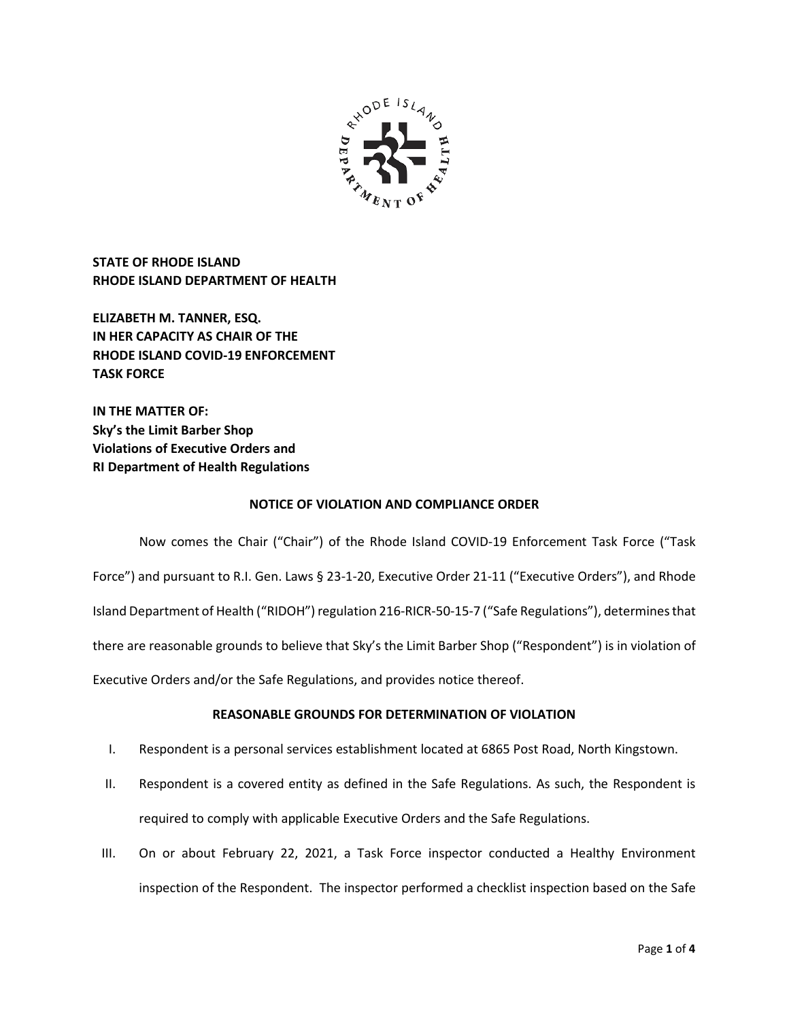

**STATE OF RHODE ISLAND RHODE ISLAND DEPARTMENT OF HEALTH**

**ELIZABETH M. TANNER, ESQ. IN HER CAPACITY AS CHAIR OF THE RHODE ISLAND COVID-19 ENFORCEMENT TASK FORCE** 

**IN THE MATTER OF: Sky's the Limit Barber Shop Violations of Executive Orders and RI Department of Health Regulations**

## **NOTICE OF VIOLATION AND COMPLIANCE ORDER**

Now comes the Chair ("Chair") of the Rhode Island COVID-19 Enforcement Task Force ("Task Force") and pursuant to R.I. Gen. Laws § 23-1-20, Executive Order 21-11 ("Executive Orders"), and Rhode Island Department of Health ("RIDOH") regulation 216-RICR-50-15-7 ("Safe Regulations"), determines that there are reasonable grounds to believe that Sky's the Limit Barber Shop ("Respondent") is in violation of Executive Orders and/or the Safe Regulations, and provides notice thereof.

# **REASONABLE GROUNDS FOR DETERMINATION OF VIOLATION**

- I. Respondent is a personal services establishment located at 6865 Post Road, North Kingstown.
- II. Respondent is a covered entity as defined in the Safe Regulations. As such, the Respondent is required to comply with applicable Executive Orders and the Safe Regulations.
- III. On or about February 22, 2021, a Task Force inspector conducted a Healthy Environment inspection of the Respondent. The inspector performed a checklist inspection based on the Safe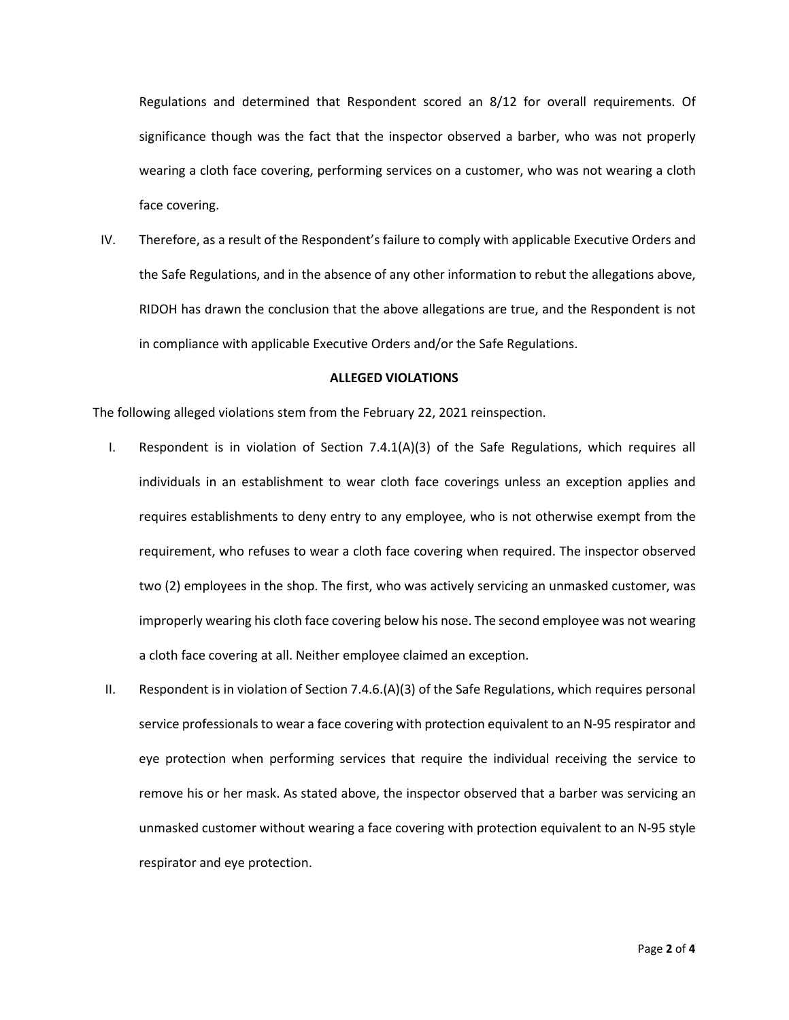Regulations and determined that Respondent scored an 8/12 for overall requirements. Of significance though was the fact that the inspector observed a barber, who was not properly wearing a cloth face covering, performing services on a customer, who was not wearing a cloth face covering.

IV. Therefore, as a result of the Respondent's failure to comply with applicable Executive Orders and the Safe Regulations, and in the absence of any other information to rebut the allegations above, RIDOH has drawn the conclusion that the above allegations are true, and the Respondent is not in compliance with applicable Executive Orders and/or the Safe Regulations.

#### **ALLEGED VIOLATIONS**

The following alleged violations stem from the February 22, 2021 reinspection.

- I. Respondent is in violation of Section 7.4.1(A)(3) of the Safe Regulations, which requires all individuals in an establishment to wear cloth face coverings unless an exception applies and requires establishments to deny entry to any employee, who is not otherwise exempt from the requirement, who refuses to wear a cloth face covering when required. The inspector observed two (2) employees in the shop. The first, who was actively servicing an unmasked customer, was improperly wearing his cloth face covering below his nose. The second employee was not wearing a cloth face covering at all. Neither employee claimed an exception.
- II. Respondent is in violation of Section 7.4.6.(A)(3) of the Safe Regulations, which requires personal service professionals to wear a face covering with protection equivalent to an N-95 respirator and eye protection when performing services that require the individual receiving the service to remove his or her mask. As stated above, the inspector observed that a barber was servicing an unmasked customer without wearing a face covering with protection equivalent to an N-95 style respirator and eye protection.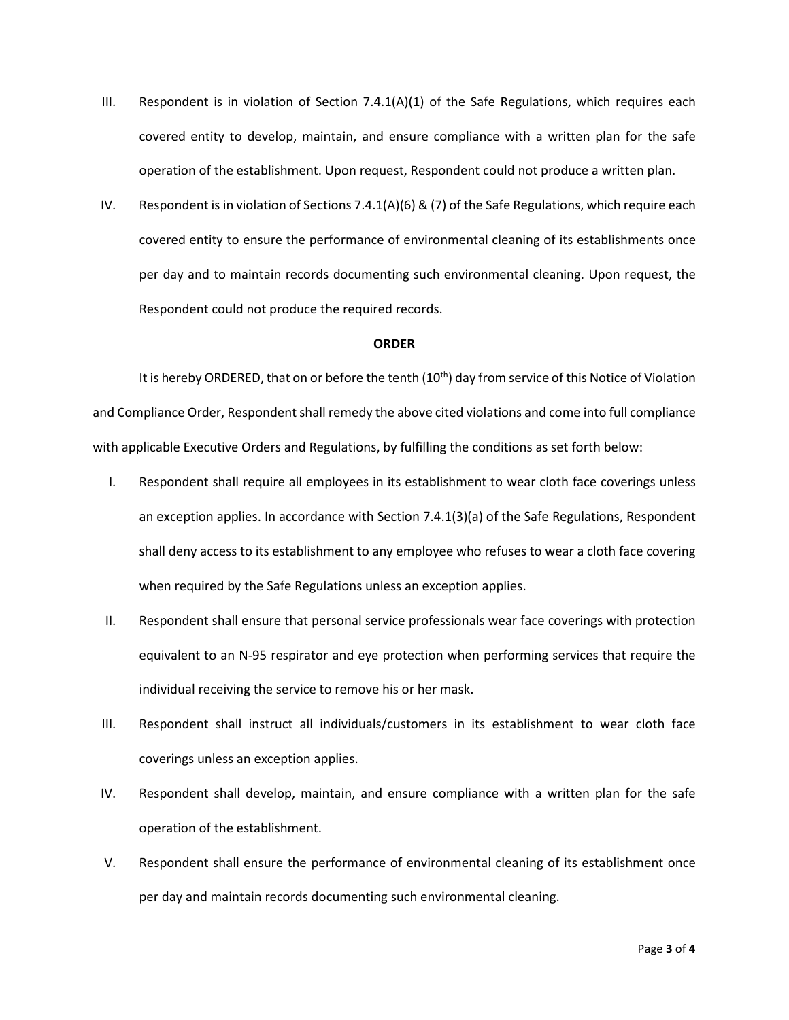- III. Respondent is in violation of Section  $7.4.1(A)(1)$  of the Safe Regulations, which requires each covered entity to develop, maintain, and ensure compliance with a written plan for the safe operation of the establishment. Upon request, Respondent could not produce a written plan.
- IV. Respondent is in violation of Sections 7.4.1(A)(6) & (7) of the Safe Regulations, which require each covered entity to ensure the performance of environmental cleaning of its establishments once per day and to maintain records documenting such environmental cleaning. Upon request, the Respondent could not produce the required records.

#### **ORDER**

It is hereby ORDERED, that on or before the tenth  $(10<sup>th</sup>)$  day from service of this Notice of Violation and Compliance Order, Respondent shall remedy the above cited violations and come into full compliance with applicable Executive Orders and Regulations, by fulfilling the conditions as set forth below:

- I. Respondent shall require all employees in its establishment to wear cloth face coverings unless an exception applies. In accordance with Section 7.4.1(3)(a) of the Safe Regulations, Respondent shall deny access to its establishment to any employee who refuses to wear a cloth face covering when required by the Safe Regulations unless an exception applies.
- II. Respondent shall ensure that personal service professionals wear face coverings with protection equivalent to an N-95 respirator and eye protection when performing services that require the individual receiving the service to remove his or her mask.
- III. Respondent shall instruct all individuals/customers in its establishment to wear cloth face coverings unless an exception applies.
- IV. Respondent shall develop, maintain, and ensure compliance with a written plan for the safe operation of the establishment.
- V. Respondent shall ensure the performance of environmental cleaning of its establishment once per day and maintain records documenting such environmental cleaning.